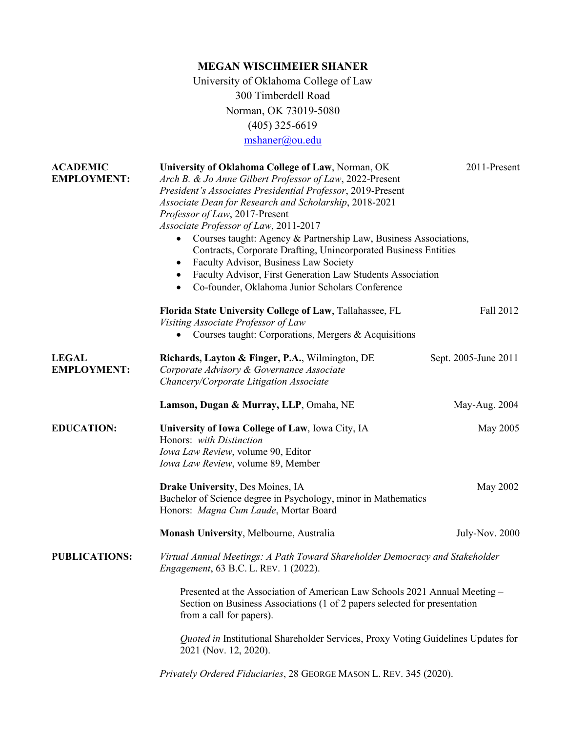## **MEGAN WISCHMEIER SHANER** University of Oklahoma College of Law 300 Timberdell Road Norman, OK 73019-5080 (405) 325-6619 [mshaner@ou.edu](mailto:mshaner@ou.edu)

| <b>ACADEMIC</b><br><b>EMPLOYMENT:</b> | University of Oklahoma College of Law, Norman, OK<br>Arch B. & Jo Anne Gilbert Professor of Law, 2022-Present<br>President's Associates Presidential Professor, 2019-Present<br>Associate Dean for Research and Scholarship, 2018-2021<br>Professor of Law, 2017-Present<br>Associate Professor of Law, 2011-2017<br>Courses taught: Agency & Partnership Law, Business Associations,<br>$\bullet$<br>Contracts, Corporate Drafting, Unincorporated Business Entities<br>Faculty Advisor, Business Law Society<br>٠<br>Faculty Advisor, First Generation Law Students Association<br>$\bullet$<br>Co-founder, Oklahoma Junior Scholars Conference<br>$\bullet$ | 2011-Present         |  |
|---------------------------------------|----------------------------------------------------------------------------------------------------------------------------------------------------------------------------------------------------------------------------------------------------------------------------------------------------------------------------------------------------------------------------------------------------------------------------------------------------------------------------------------------------------------------------------------------------------------------------------------------------------------------------------------------------------------|----------------------|--|
|                                       | Florida State University College of Law, Tallahassee, FL<br>Visiting Associate Professor of Law<br>Courses taught: Corporations, Mergers & Acquisitions                                                                                                                                                                                                                                                                                                                                                                                                                                                                                                        | Fall 2012            |  |
| <b>LEGAL</b><br><b>EMPLOYMENT:</b>    | Richards, Layton & Finger, P.A., Wilmington, DE<br>Corporate Advisory & Governance Associate<br>Chancery/Corporate Litigation Associate                                                                                                                                                                                                                                                                                                                                                                                                                                                                                                                        | Sept. 2005-June 2011 |  |
|                                       | Lamson, Dugan & Murray, LLP, Omaha, NE                                                                                                                                                                                                                                                                                                                                                                                                                                                                                                                                                                                                                         | May-Aug. 2004        |  |
| <b>EDUCATION:</b>                     | University of Iowa College of Law, Iowa City, IA<br>Honors: with Distinction<br>Iowa Law Review, volume 90, Editor<br>Iowa Law Review, volume 89, Member                                                                                                                                                                                                                                                                                                                                                                                                                                                                                                       | May 2005             |  |
|                                       | Drake University, Des Moines, IA<br>Bachelor of Science degree in Psychology, minor in Mathematics<br>Honors: Magna Cum Laude, Mortar Board                                                                                                                                                                                                                                                                                                                                                                                                                                                                                                                    | May 2002             |  |
|                                       | Monash University, Melbourne, Australia                                                                                                                                                                                                                                                                                                                                                                                                                                                                                                                                                                                                                        | July-Nov. 2000       |  |
| <b>PUBLICATIONS:</b>                  | Virtual Annual Meetings: A Path Toward Shareholder Democracy and Stakeholder<br><i>Engagement</i> , 63 B.C. L. REV. 1 (2022).                                                                                                                                                                                                                                                                                                                                                                                                                                                                                                                                  |                      |  |
|                                       | Presented at the Association of American Law Schools 2021 Annual Meeting –<br>Section on Business Associations (1 of 2 papers selected for presentation<br>from a call for papers).                                                                                                                                                                                                                                                                                                                                                                                                                                                                            |                      |  |
|                                       | Quoted in Institutional Shareholder Services, Proxy Voting Guidelines Updates for<br>2021 (Nov. 12, 2020).                                                                                                                                                                                                                                                                                                                                                                                                                                                                                                                                                     |                      |  |
|                                       | Privately Ordered Fiduciaries, 28 GEORGE MASON L. REV. 345 (2020).                                                                                                                                                                                                                                                                                                                                                                                                                                                                                                                                                                                             |                      |  |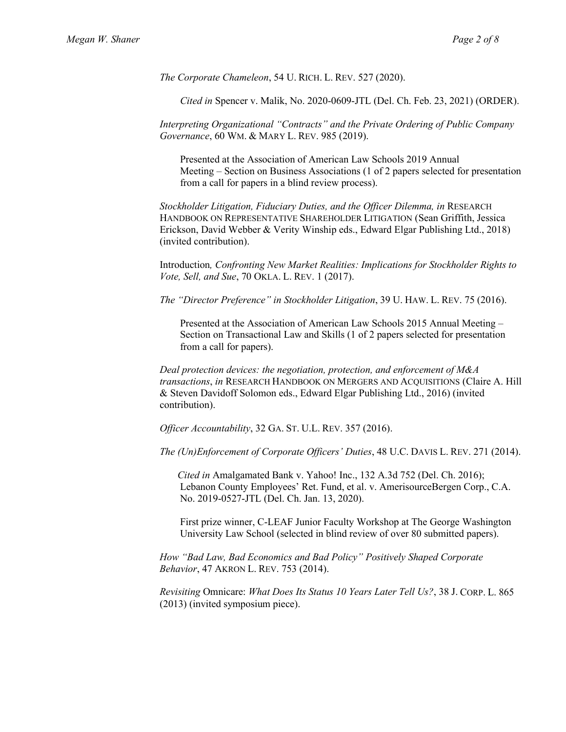*The Corporate Chameleon*, 54 U. RICH. L. REV. 527 (2020).

 *Cited in* Spencer v. Malik, No. 2020-0609-JTL (Del. Ch. Feb. 23, 2021) (ORDER).

*Interpreting Organizational "Contracts" and the Private Ordering of Public Company Governance*, 60 WM. & MARY L. REV. 985 (2019).

 Presented at the Association of American Law Schools 2019 Annual Meeting – Section on Business Associations (1 of 2 papers selected for presentation from a call for papers in a blind review process).

*Stockholder Litigation, Fiduciary Duties, and the Officer Dilemma, in* RESEARCH HANDBOOK ON REPRESENTATIVE SHAREHOLDER LITIGATION (Sean Griffith, Jessica Erickson, David Webber & Verity Winship eds., Edward Elgar Publishing Ltd., 2018) (invited contribution).

Introduction*, Confronting New Market Realities: Implications for Stockholder Rights to Vote, Sell, and Sue*, 70 OKLA. L. REV. 1 (2017).

*The "Director Preference" in Stockholder Litigation*, 39 U. HAW. L. REV. 75 (2016).

 Presented at the Association of American Law Schools 2015 Annual Meeting – Section on Transactional Law and Skills (1 of 2 papers selected for presentation from a call for papers).

*Deal protection devices: the negotiation, protection, and enforcement of M&A transactions*, *in* RESEARCH HANDBOOK ON MERGERS AND ACQUISITIONS (Claire A. Hill & Steven Davidoff Solomon eds., Edward Elgar Publishing Ltd., 2016) (invited contribution).

*Officer Accountability*, 32 GA. ST. U.L. REV. 357 (2016).

*The (Un)Enforcement of Corporate Officers' Duties*, 48 U.C. DAVIS L. REV. 271 (2014).

 *Cited in* Amalgamated Bank v. Yahoo! Inc., 132 A.3d 752 (Del. Ch. 2016); Lebanon County Employees' Ret. Fund, et al. v. AmerisourceBergen Corp., C.A. No. 2019-0527-JTL (Del. Ch. Jan. 13, 2020).

 First prize winner, C-LEAF Junior Faculty Workshop at The George Washington University Law School (selected in blind review of over 80 submitted papers).

*How "Bad Law, Bad Economics and Bad Policy" Positively Shaped Corporate Behavior*, 47 AKRON L. REV. 753 (2014).

*Revisiting* Omnicare: *What Does Its Status 10 Years Later Tell Us?*, 38 J. CORP. L. 865 (2013) (invited symposium piece).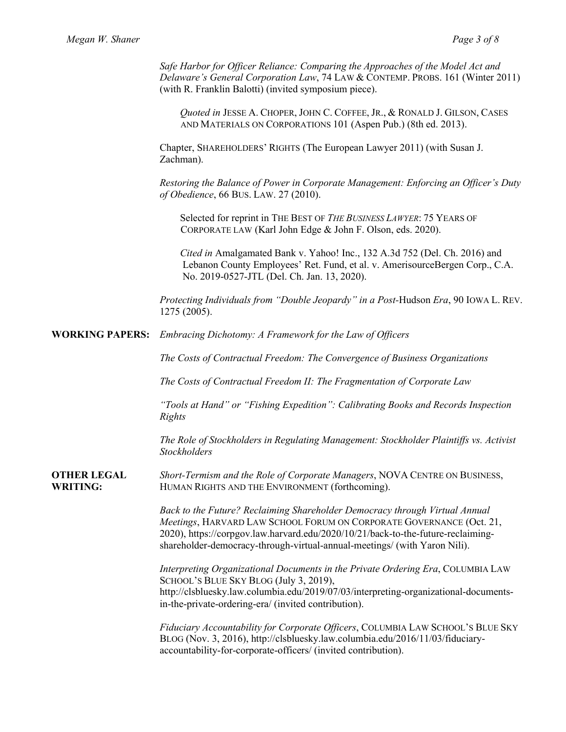*Safe Harbor for Officer Reliance: Comparing the Approaches of the Model Act and Delaware's General Corporation Law*, 74 LAW & CONTEMP. PROBS. 161 (Winter 2011) (with R. Franklin Balotti) (invited symposium piece).

 *Quoted in* JESSE A. CHOPER, JOHN C. COFFEE, JR., & RONALD J. GILSON, CASES AND MATERIALS ON CORPORATIONS 101 (Aspen Pub.) (8th ed. 2013).

Chapter, SHAREHOLDERS' RIGHTS (The European Lawyer 2011) (with Susan J. Zachman).

*Restoring the Balance of Power in Corporate Management: Enforcing an Officer's Duty of Obedience*, 66 BUS. LAW. 27 (2010).

 Selected for reprint in THE BEST OF *THE BUSINESS LAWYER*: 75 YEARS OF CORPORATE LAW (Karl John Edge & John F. Olson, eds. 2020).

 *Cited in* Amalgamated Bank v. Yahoo! Inc., 132 A.3d 752 (Del. Ch. 2016) and Lebanon County Employees' Ret. Fund, et al. v. AmerisourceBergen Corp., C.A. No. 2019-0527-JTL (Del. Ch. Jan. 13, 2020).

*Protecting Individuals from "Double Jeopardy" in a Post-*Hudson *Era*, 90 IOWA L. REV. 1275 (2005).

**WORKING PAPERS:** *Embracing Dichotomy: A Framework for the Law of Officers*

*The Costs of Contractual Freedom: The Convergence of Business Organizations*

*The Costs of Contractual Freedom II: The Fragmentation of Corporate Law*

*"Tools at Hand" or "Fishing Expedition": Calibrating Books and Records Inspection Rights*

*The Role of Stockholders in Regulating Management: Stockholder Plaintiffs vs. Activist Stockholders* 

**OTHER LEGAL WRITING:** *Short-Termism and the Role of Corporate Managers*, NOVA CENTRE ON BUSINESS, HUMAN RIGHTS AND THE ENVIRONMENT (forthcoming).

> *Back to the Future? Reclaiming Shareholder Democracy through Virtual Annual Meetings*, HARVARD LAW SCHOOL FORUM ON CORPORATE GOVERNANCE (Oct. 21, 2020), https://corpgov.law.harvard.edu/2020/10/21/back-to-the-future-reclaimingshareholder-democracy-through-virtual-annual-meetings/ (with Yaron Nili).

*Interpreting Organizational Documents in the Private Ordering Era*, COLUMBIA LAW SCHOOL'S BLUE SKY BLOG (July 3, 2019), http://clsbluesky.law.columbia.edu/2019/07/03/interpreting-organizational-documentsin-the-private-ordering-era/ (invited contribution).

*Fiduciary Accountability for Corporate Officers*, COLUMBIA LAW SCHOOL'S BLUE SKY BLOG (Nov. 3, 2016), http://clsbluesky.law.columbia.edu/2016/11/03/fiduciaryaccountability-for-corporate-officers/ (invited contribution).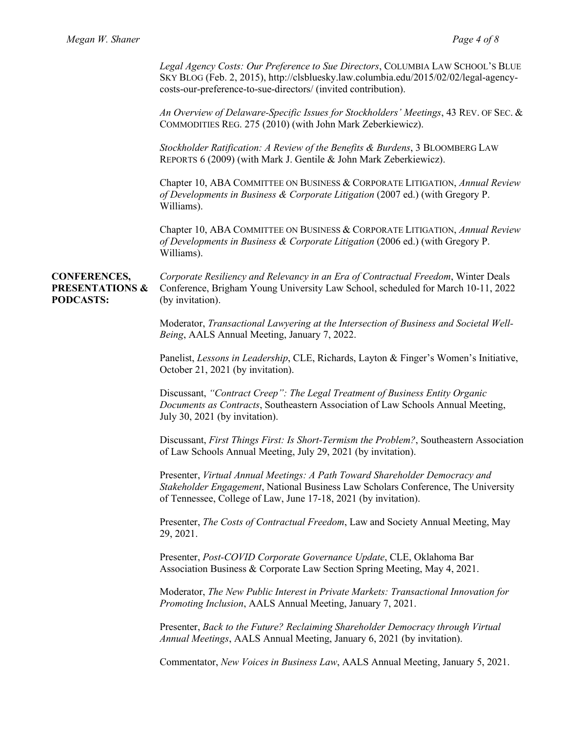*Legal Agency Costs: Our Preference to Sue Directors*, COLUMBIA LAW SCHOOL'S BLUE SKY BLOG (Feb. 2, 2015), http://clsbluesky.law.columbia.edu/2015/02/02/legal-agencycosts-our-preference-to-sue-directors/ (invited contribution).

*An Overview of Delaware-Specific Issues for Stockholders' Meetings*, 43 REV. OF SEC. & COMMODITIES REG. 275 (2010) (with John Mark Zeberkiewicz).

*Stockholder Ratification: A Review of the Benefits & Burdens*, 3 BLOOMBERG LAW REPORTS 6 (2009) (with Mark J. Gentile & John Mark Zeberkiewicz).

Chapter 10, ABA COMMITTEE ON BUSINESS & CORPORATE LITIGATION, *Annual Review of Developments in Business & Corporate Litigation* (2007 ed.) (with Gregory P. Williams).

Chapter 10, ABA COMMITTEE ON BUSINESS & CORPORATE LITIGATION, *Annual Review of Developments in Business & Corporate Litigation* (2006 ed.) (with Gregory P. Williams).

**CONFERENCES, PRESENTATIONS & PODCASTS:**

*Corporate Resiliency and Relevancy in an Era of Contractual Freedom*, Winter Deals Conference, Brigham Young University Law School, scheduled for March 10-11, 2022 (by invitation).

Moderator, *Transactional Lawyering at the Intersection of Business and Societal Well-Being*, AALS Annual Meeting, January 7, 2022.

Panelist, *Lessons in Leadership*, CLE, Richards, Layton & Finger's Women's Initiative, October 21, 2021 (by invitation).

Discussant, *"Contract Creep": The Legal Treatment of Business Entity Organic Documents as Contracts*, Southeastern Association of Law Schools Annual Meeting, July 30, 2021 (by invitation).

Discussant, *First Things First: Is Short-Termism the Problem?*, Southeastern Association of Law Schools Annual Meeting, July 29, 2021 (by invitation).

Presenter, *Virtual Annual Meetings: A Path Toward Shareholder Democracy and Stakeholder Engagement*, National Business Law Scholars Conference, The University of Tennessee, College of Law, June 17-18, 2021 (by invitation).

Presenter, *The Costs of Contractual Freedom*, Law and Society Annual Meeting, May 29, 2021.

Presenter, *Post-COVID Corporate Governance Update*, CLE, Oklahoma Bar Association Business & Corporate Law Section Spring Meeting, May 4, 2021.

Moderator, *The New Public Interest in Private Markets: Transactional Innovation for Promoting Inclusion*, AALS Annual Meeting, January 7, 2021.

Presenter, *Back to the Future? Reclaiming Shareholder Democracy through Virtual Annual Meetings*, AALS Annual Meeting, January 6, 2021 (by invitation).

Commentator, *New Voices in Business Law*, AALS Annual Meeting, January 5, 2021.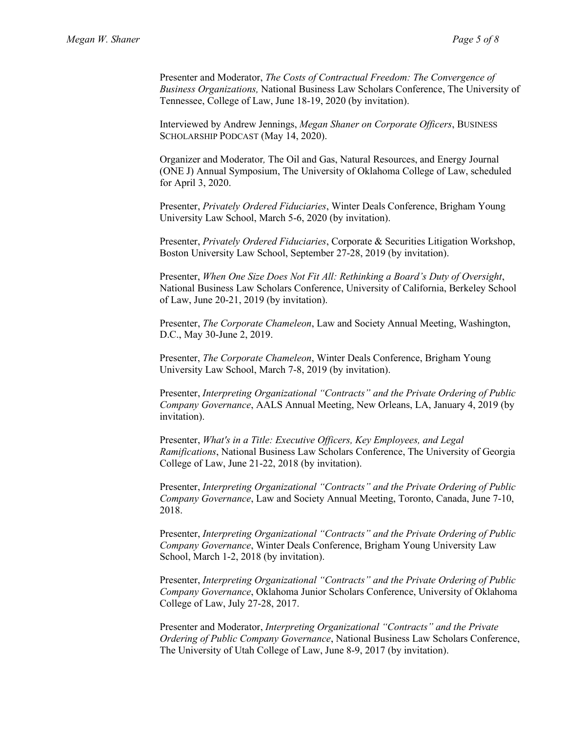Presenter and Moderator, *The Costs of Contractual Freedom: The Convergence of Business Organizations,* National Business Law Scholars Conference, The University of Tennessee, College of Law, June 18-19, 2020 (by invitation).

Interviewed by Andrew Jennings, *Megan Shaner on Corporate Officers*, BUSINESS SCHOLARSHIP PODCAST (May 14, 2020).

Organizer and Moderator*,* The Oil and Gas, Natural Resources, and Energy Journal (ONE J) Annual Symposium, The University of Oklahoma College of Law, scheduled for April 3, 2020.

Presenter, *Privately Ordered Fiduciaries*, Winter Deals Conference, Brigham Young University Law School, March 5-6, 2020 (by invitation).

Presenter, *Privately Ordered Fiduciaries*, Corporate & Securities Litigation Workshop, Boston University Law School, September 27-28, 2019 (by invitation).

Presenter, *When One Size Does Not Fit All: Rethinking a Board's Duty of Oversight*, National Business Law Scholars Conference, University of California, Berkeley School of Law, June 20-21, 2019 (by invitation).

Presenter, *The Corporate Chameleon*, Law and Society Annual Meeting, Washington, D.C., May 30-June 2, 2019.

Presenter, *The Corporate Chameleon*, Winter Deals Conference, Brigham Young University Law School, March 7-8, 2019 (by invitation).

Presenter, *Interpreting Organizational "Contracts" and the Private Ordering of Public Company Governance*, AALS Annual Meeting, New Orleans, LA, January 4, 2019 (by invitation).

Presenter, *What's in a Title: Executive Officers, Key Employees, and Legal Ramifications*, National Business Law Scholars Conference, The University of Georgia College of Law, June 21-22, 2018 (by invitation).

Presenter, *Interpreting Organizational "Contracts" and the Private Ordering of Public Company Governance*, Law and Society Annual Meeting, Toronto, Canada, June 7-10, 2018.

Presenter, *Interpreting Organizational "Contracts" and the Private Ordering of Public Company Governance*, Winter Deals Conference, Brigham Young University Law School, March 1-2, 2018 (by invitation).

Presenter, *Interpreting Organizational "Contracts" and the Private Ordering of Public Company Governance*, Oklahoma Junior Scholars Conference, University of Oklahoma College of Law, July 27-28, 2017.

Presenter and Moderator, *Interpreting Organizational "Contracts" and the Private Ordering of Public Company Governance*, National Business Law Scholars Conference, The University of Utah College of Law, June 8-9, 2017 (by invitation).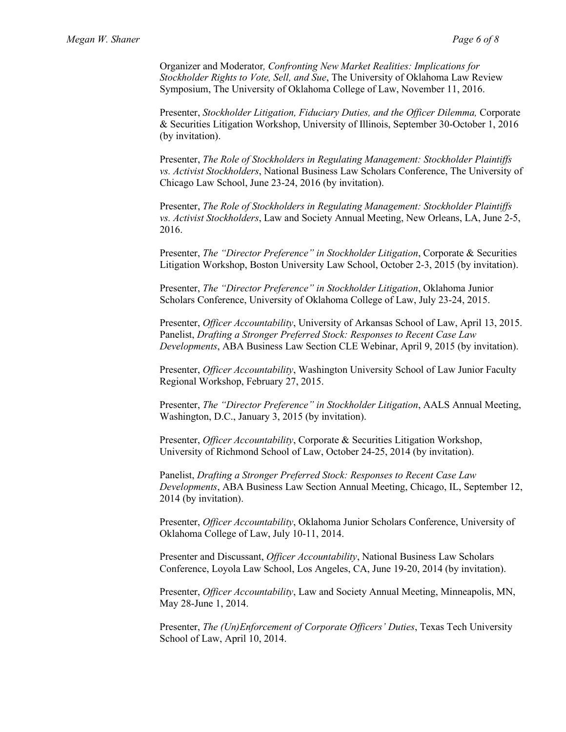Organizer and Moderator*, Confronting New Market Realities: Implications for Stockholder Rights to Vote, Sell, and Sue*, The University of Oklahoma Law Review Symposium, The University of Oklahoma College of Law, November 11, 2016.

Presenter, *Stockholder Litigation, Fiduciary Duties, and the Officer Dilemma,* Corporate & Securities Litigation Workshop, University of Illinois, September 30-October 1, 2016 (by invitation).

Presenter, *The Role of Stockholders in Regulating Management: Stockholder Plaintiffs vs. Activist Stockholders*, National Business Law Scholars Conference, The University of Chicago Law School, June 23-24, 2016 (by invitation).

Presenter, *The Role of Stockholders in Regulating Management: Stockholder Plaintiffs vs. Activist Stockholders*, Law and Society Annual Meeting, New Orleans, LA, June 2-5, 2016.

Presenter, *The "Director Preference" in Stockholder Litigation*, Corporate & Securities Litigation Workshop, Boston University Law School, October 2-3, 2015 (by invitation).

Presenter, *The "Director Preference" in Stockholder Litigation*, Oklahoma Junior Scholars Conference, University of Oklahoma College of Law, July 23-24, 2015.

Presenter, *Officer Accountability*, University of Arkansas School of Law, April 13, 2015. Panelist, *Drafting a Stronger Preferred Stock: Responses to Recent Case Law Developments*, ABA Business Law Section CLE Webinar, April 9, 2015 (by invitation).

Presenter, *Officer Accountability*, Washington University School of Law Junior Faculty Regional Workshop, February 27, 2015.

Presenter, *The "Director Preference" in Stockholder Litigation*, AALS Annual Meeting, Washington, D.C., January 3, 2015 (by invitation).

Presenter, *Officer Accountability*, Corporate & Securities Litigation Workshop, University of Richmond School of Law, October 24-25, 2014 (by invitation).

Panelist, *Drafting a Stronger Preferred Stock: Responses to Recent Case Law Developments*, ABA Business Law Section Annual Meeting, Chicago, IL, September 12, 2014 (by invitation).

Presenter, *Officer Accountability*, Oklahoma Junior Scholars Conference, University of Oklahoma College of Law, July 10-11, 2014.

Presenter and Discussant, *Officer Accountability*, National Business Law Scholars Conference, Loyola Law School, Los Angeles, CA, June 19-20, 2014 (by invitation).

Presenter, *Officer Accountability*, Law and Society Annual Meeting, Minneapolis, MN, May 28-June 1, 2014.

Presenter, *The (Un)Enforcement of Corporate Officers' Duties*, Texas Tech University School of Law, April 10, 2014.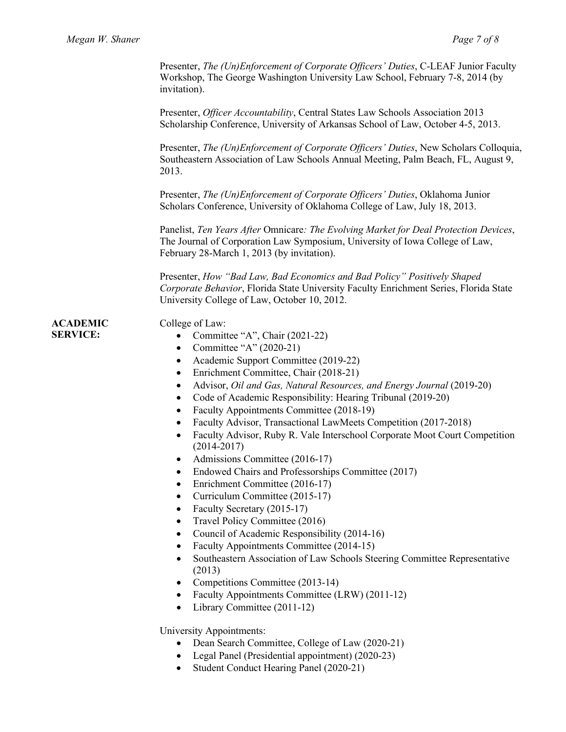Presenter, *The (Un)Enforcement of Corporate Officers' Duties*, C-LEAF Junior Faculty Workshop, The George Washington University Law School, February 7-8, 2014 (by invitation).

Presenter, *Officer Accountability*, Central States Law Schools Association 2013 Scholarship Conference, University of Arkansas School of Law, October 4-5, 2013.

Presenter, *The (Un)Enforcement of Corporate Officers' Duties*, New Scholars Colloquia, Southeastern Association of Law Schools Annual Meeting, Palm Beach, FL, August 9, 2013.

Presenter, *The (Un)Enforcement of Corporate Officers' Duties*, Oklahoma Junior Scholars Conference, University of Oklahoma College of Law, July 18, 2013.

Panelist, *Ten Years After* Omnicare*: The Evolving Market for Deal Protection Devices*, The Journal of Corporation Law Symposium, University of Iowa College of Law, February 28-March 1, 2013 (by invitation).

Presenter, *How "Bad Law, Bad Economics and Bad Policy" Positively Shaped Corporate Behavior*, Florida State University Faculty Enrichment Series, Florida State University College of Law, October 10, 2012.

## **ACADEMIC SERVICE:**

## College of Law:

- Committee "A", Chair (2021-22)
- Committee "A" (2020-21)
- Academic Support Committee (2019-22)
- Enrichment Committee, Chair (2018-21)
- Advisor, *Oil and Gas, Natural Resources, and Energy Journal* (2019-20)
- Code of Academic Responsibility: Hearing Tribunal (2019-20)
- Faculty Appointments Committee (2018-19)
- Faculty Advisor, Transactional LawMeets Competition (2017-2018)
- Faculty Advisor, Ruby R. Vale Interschool Corporate Moot Court Competition (2014-2017)
- Admissions Committee (2016-17)
- Endowed Chairs and Professorships Committee (2017)
- Enrichment Committee (2016-17)
- Curriculum Committee (2015-17)
- Faculty Secretary (2015-17)
- Travel Policy Committee (2016)
- Council of Academic Responsibility (2014-16)
- Faculty Appointments Committee (2014-15)
- Southeastern Association of Law Schools Steering Committee Representative (2013)
- Competitions Committee (2013-14)
- Faculty Appointments Committee (LRW) (2011-12)
- Library Committee (2011-12)

University Appointments:

- Dean Search Committee, College of Law (2020-21)
- Legal Panel (Presidential appointment) (2020-23)
- Student Conduct Hearing Panel (2020-21)